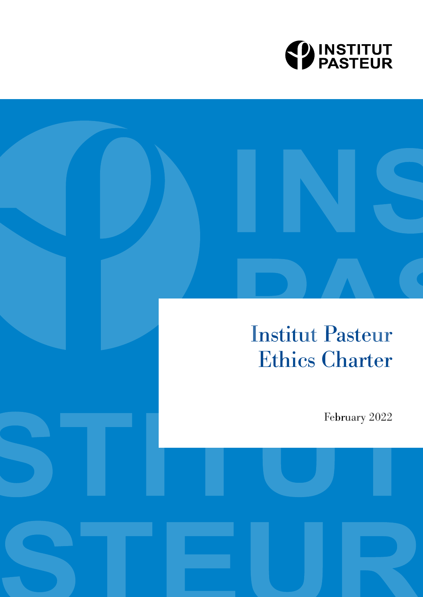

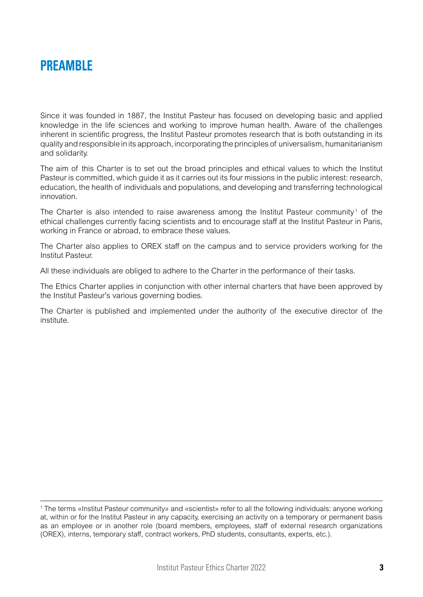# **PREAMBLE**

Since it was founded in 1887, the Institut Pasteur has focused on developing basic and applied knowledge in the life sciences and working to improve human health. Aware of the challenges inherent in scientific progress, the Institut Pasteur promotes research that is both outstanding in its quality and responsible in its approach, incorporating the principles of universalism, humanitarianism and solidarity.

The aim of this Charter is to set out the broad principles and ethical values to which the Institut Pasteur is committed, which guide it as it carries out its four missions in the public interest: research, education, the health of individuals and populations, and developing and transferring technological innovation.

The Charter is also intended to raise awareness among the Institut Pasteur community<sup>1</sup> of the ethical challenges currently facing scientists and to encourage staff at the Institut Pasteur in Paris, working in France or abroad, to embrace these values.

The Charter also applies to OREX staff on the campus and to service providers working for the Institut Pasteur.

All these individuals are obliged to adhere to the Charter in the performance of their tasks.

The Ethics Charter applies in conjunction with other internal charters that have been approved by the Institut Pasteur's various governing bodies.

The Charter is published and implemented under the authority of the executive director of the institute.

<sup>1</sup> The terms «Institut Pasteur community» and «scientist» refer to all the following individuals: anyone working at, within or for the Institut Pasteur in any capacity, exercising an activity on a temporary or permanent basis as an employee or in another role (board members, employees, staff of external research organizations (OREX), interns, temporary staff, contract workers, PhD students, consultants, experts, etc.).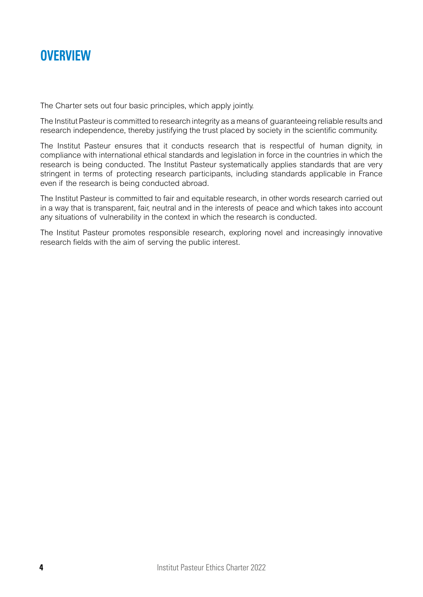

The Charter sets out four basic principles, which apply jointly.

The Institut Pasteur is committed to research integrity as a means of guaranteeing reliable results and research independence, thereby justifying the trust placed by society in the scientific community.

The Institut Pasteur ensures that it conducts research that is respectful of human dignity, in compliance with international ethical standards and legislation in force in the countries in which the research is being conducted. The Institut Pasteur systematically applies standards that are very stringent in terms of protecting research participants, including standards applicable in France even if the research is being conducted abroad.

The Institut Pasteur is committed to fair and equitable research, in other words research carried out in a way that is transparent, fair, neutral and in the interests of peace and which takes into account any situations of vulnerability in the context in which the research is conducted.

The Institut Pasteur promotes responsible research, exploring novel and increasingly innovative research fields with the aim of serving the public interest.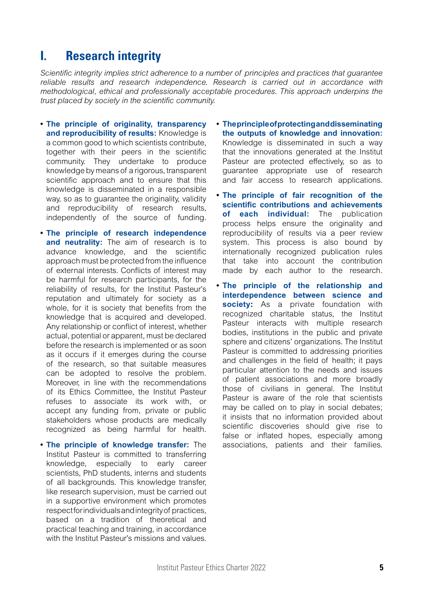## **I. Research integrity**

*Scientific integrity implies strict adherence to a number of principles and practices that guarantee reliable results and research independence. Research is carried out in accordance with methodological, ethical and professionally acceptable procedures. This approach underpins the trust placed by society in the scientific community.*

- **• The principle of originality, transparency and reproducibility of results:** Knowledge is a common good to which scientists contribute, together with their peers in the scientific community. They undertake to produce knowledge by means of a rigorous, transparent scientific approach and to ensure that this knowledge is disseminated in a responsible way, so as to quarantee the originality, validity and reproducibility of research results, independently of the source of funding.
- **• The principle of research independence and neutrality:** The aim of research is to advance knowledge, and the scientific approach must be protected from the influence of external interests. Conflicts of interest may be harmful for research participants, for the reliability of results, for the Institut Pasteur's reputation and ultimately for society as a whole, for it is society that benefits from the knowledge that is acquired and developed. Any relationship or conflict of interest, whether actual, potential or apparent, must be declared before the research is implemented or as soon as it occurs if it emerges during the course of the research, so that suitable measures can be adopted to resolve the problem. Moreover, in line with the recommendations of its Ethics Committee, the Institut Pasteur refuses to associate its work with, or accept any funding from, private or public stakeholders whose products are medically recognized as being harmful for health.
- **• The principle of knowledge transfer:** The Institut Pasteur is committed to transferring knowledge, especially to early career scientists, PhD students, interns and students of all backgrounds. This knowledge transfer, like research supervision, must be carried out in a supportive environment which promotes respect for individuals and integrity of practices, based on a tradition of theoretical and practical teaching and training, in accordance with the Institut Pasteur's missions and values.
- **• The principle of protecting and disseminating the outputs of knowledge and innovation:** Knowledge is disseminated in such a way that the innovations generated at the Institut Pasteur are protected effectively, so as to guarantee appropriate use of research and fair access to research applications.
- **• The principle of fair recognition of the scientific contributions and achievements each individual:** The publication process helps ensure the originality and reproducibility of results via a peer review system. This process is also bound by internationally recognized publication rules that take into account the contribution made by each author to the research.
- **• The principle of the relationship and interdependence between science and society:** As a private foundation with recognized charitable status, the Institut Pasteur interacts with multiple research bodies, institutions in the public and private sphere and citizens' organizations. The Institut Pasteur is committed to addressing priorities and challenges in the field of health; it pays particular attention to the needs and issues of patient associations and more broadly those of civilians in general. The Institut Pasteur is aware of the role that scientists may be called on to play in social debates; it insists that no information provided about scientific discoveries should give rise to false or inflated hopes, especially among associations, patients and their families.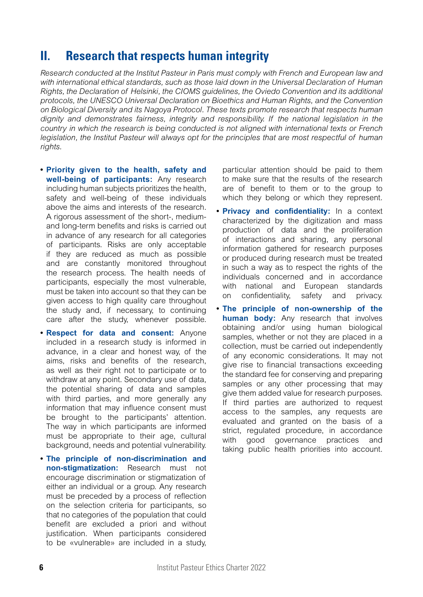## **II. Research that respects human integrity**

*Research conducted at the Institut Pasteur in Paris must comply with French and European law and with international ethical standards, such as those laid down in the Universal Declaration of Human Rights, the Declaration of Helsinki, the CIOMS guidelines, the Oviedo Convention and its additional protocols, the UNESCO Universal Declaration on Bioethics and Human Rights, and the Convention on Biological Diversity and its Nagoya Protocol. These texts promote research that respects human dignity and demonstrates fairness, integrity and responsibility. If the national legislation in the country in which the research is being conducted is not aligned with international texts or French legislation, the Institut Pasteur will always opt for the principles that are most respectful of human rights.*

- **• Priority given to the health, safety and well-being of participants:** Any research including human subjects prioritizes the health, safety and well-being of these individuals above the aims and interests of the research. A rigorous assessment of the short-, mediumand long-term benefits and risks is carried out in advance of any research for all categories of participants. Risks are only acceptable if they are reduced as much as possible and are constantly monitored throughout the research process. The health needs of participants, especially the most vulnerable, must be taken into account so that they can be given access to high quality care throughout the study and, if necessary, to continuing care after the study, whenever possible.
- **• Respect for data and consent:** Anyone included in a research study is informed in advance, in a clear and honest way, of the aims, risks and benefits of the research, as well as their right not to participate or to withdraw at any point. Secondary use of data, the potential sharing of data and samples with third parties, and more generally any information that may influence consent must be brought to the participants' attention. The way in which participants are informed must be appropriate to their age, cultural background, needs and potential vulnerability.
- **• The principle of non-discrimination and non-stigmatization:** Research must not encourage discrimination or stigmatization of either an individual or a group. Any research must be preceded by a process of reflection on the selection criteria for participants, so that no categories of the population that could benefit are excluded a priori and without justification. When participants considered to be «vulnerable» are included in a study,

particular attention should be paid to them to make sure that the results of the research are of benefit to them or to the group to which they belong or which they represent.

- **• Privacy and confidentiality:** In a context characterized by the digitization and mass production of data and the proliferation of interactions and sharing, any personal information gathered for research purposes or produced during research must be treated in such a way as to respect the rights of the individuals concerned and in accordance with national and European standards on confidentiality, safety and privacy.
- **• The principle of non-ownership of the human body:** Any research that involves obtaining and/or using human biological samples, whether or not they are placed in a collection, must be carried out independently of any economic considerations. It may not give rise to financial transactions exceeding the standard fee for conserving and preparing samples or any other processing that may give them added value for research purposes. If third parties are authorized to request access to the samples, any requests are evaluated and granted on the basis of a strict, regulated procedure, in accordance with good governance practices and taking public health priorities into account.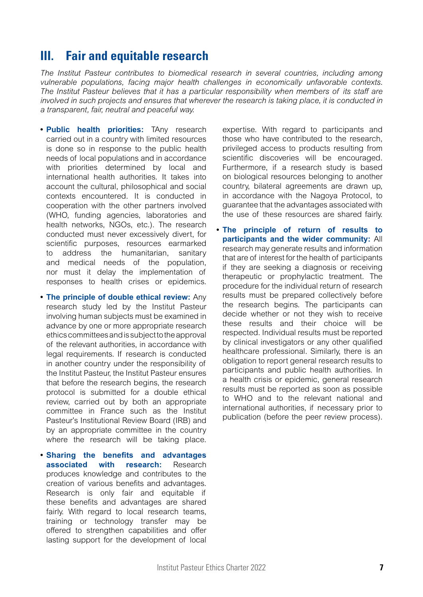## **III. Fair and equitable research**

*The Institut Pasteur contributes to biomedical research in several countries, including among vulnerable populations, facing major health challenges in economically unfavorable contexts. The Institut Pasteur believes that it has a particular responsibility when members of its staff are involved in such projects and ensures that wherever the research is taking place, it is conducted in a transparent, fair, neutral and peaceful way.*

- **• Public health priorities:** TAny research carried out in a country with limited resources is done so in response to the public health needs of local populations and in accordance with priorities determined by local and international health authorities. It takes into account the cultural, philosophical and social contexts encountered. It is conducted in cooperation with the other partners involved (WHO, funding agencies, laboratories and health networks, NGOs, etc.). The research conducted must never excessively divert, for scientific purposes, resources earmarked to address the humanitarian, sanitary and medical needs of the population, nor must it delay the implementation of responses to health crises or epidemics.
- **• The principle of double ethical review:** Any research study led by the Institut Pasteur involving human subjects must be examined in advance by one or more appropriate research ethics committees and is subject to the approval of the relevant authorities, in accordance with legal requirements. If research is conducted in another country under the responsibility of the Institut Pasteur, the Institut Pasteur ensures that before the research begins, the research protocol is submitted for a double ethical review, carried out by both an appropriate committee in France such as the Institut Pasteur's Institutional Review Board (IRB) and by an appropriate committee in the country where the research will be taking place.
- **• Sharing the benefits and advantages associated with research:** Research produces knowledge and contributes to the creation of various benefits and advantages. Research is only fair and equitable if these benefits and advantages are shared fairly. With regard to local research teams, training or technology transfer may be offered to strengthen capabilities and offer lasting support for the development of local

expertise. With regard to participants and those who have contributed to the research, privileged access to products resulting from scientific discoveries will be encouraged. Furthermore, if a research study is based on biological resources belonging to another country, bilateral agreements are drawn up, in accordance with the Nagoya Protocol, to guarantee that the advantages associated with the use of these resources are shared fairly.

**• The principle of return of results to participants and the wider community:** All research may generate results and information that are of interest for the health of participants if they are seeking a diagnosis or receiving therapeutic or prophylactic treatment. The procedure for the individual return of research results must be prepared collectively before the research begins. The participants can decide whether or not they wish to receive these results and their choice will be respected. Individual results must be reported by clinical investigators or any other qualified healthcare professional. Similarly, there is an obligation to report general research results to participants and public health authorities. In a health crisis or epidemic, general research results must be reported as soon as possible to WHO and to the relevant national and international authorities, if necessary prior to publication (before the peer review process).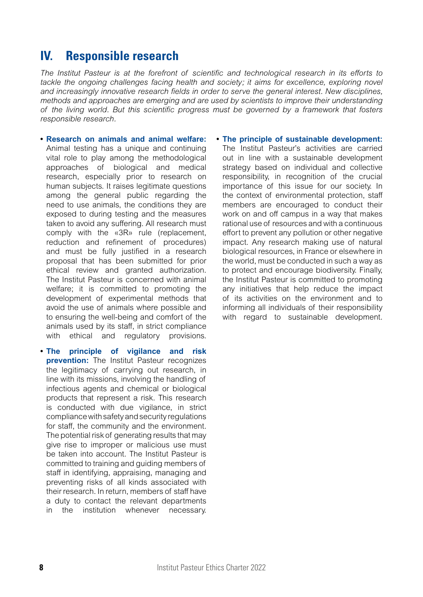### **IV. Responsible research**

*The Institut Pasteur is at the forefront of scientific and technological research in its efforts to*  tackle the ongoing challenges facing health and society; it aims for excellence, exploring novel *and increasingly innovative research fields in order to serve the general interest. New disciplines, methods and approaches are emerging and are used by scientists to improve their understanding of the living world. But this scientific progress must be governed by a framework that fosters responsible research.*

- **• Research on animals and animal welfare:** Animal testing has a unique and continuing vital role to play among the methodological approaches of biological and medical research, especially prior to research on human subjects. It raises legitimate questions among the general public regarding the need to use animals, the conditions they are exposed to during testing and the measures taken to avoid any suffering. All research must comply with the «3R» rule (replacement, reduction and refinement of procedures) and must be fully justified in a research proposal that has been submitted for prior ethical review and granted authorization. The Institut Pasteur is concerned with animal welfare; it is committed to promoting the development of experimental methods that avoid the use of animals where possible and to ensuring the well-being and comfort of the animals used by its staff, in strict compliance with ethical and regulatory provisions.
- **• The principle of vigilance and risk prevention:** The Institut Pasteur recognizes the legitimacy of carrying out research, in line with its missions, involving the handling of infectious agents and chemical or biological products that represent a risk. This research is conducted with due vigilance, in strict compliance with safety and security regulations for staff, the community and the environment. The potential risk of generating results that may give rise to improper or malicious use must be taken into account. The Institut Pasteur is committed to training and guiding members of staff in identifying, appraising, managing and preventing risks of all kinds associated with their research. In return, members of staff have a duty to contact the relevant departments in the institution whenever necessary.
- **• The principle of sustainable development:** The Institut Pasteur's activities are carried out in line with a sustainable development strategy based on individual and collective responsibility, in recognition of the crucial importance of this issue for our society. In the context of environmental protection, staff members are encouraged to conduct their work on and off campus in a way that makes rational use of resources and with a continuous effort to prevent any pollution or other negative impact. Any research making use of natural biological resources, in France or elsewhere in the world, must be conducted in such a way as to protect and encourage biodiversity. Finally, the Institut Pasteur is committed to promoting any initiatives that help reduce the impact of its activities on the environment and to informing all individuals of their responsibility with regard to sustainable development.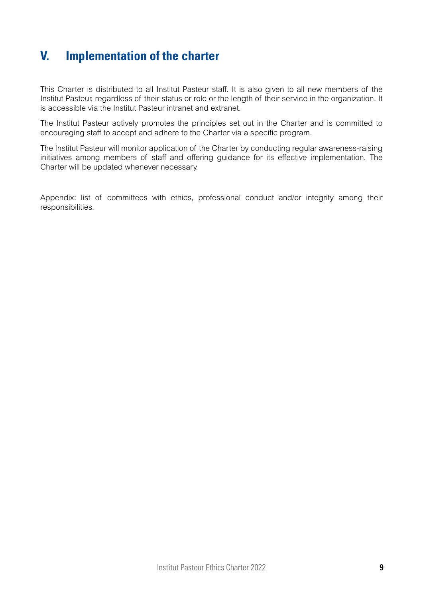# **V. Implementation of the charter**

This Charter is distributed to all Institut Pasteur staff. It is also given to all new members of the Institut Pasteur, regardless of their status or role or the length of their service in the organization. It is accessible via the Institut Pasteur intranet and extranet.

The Institut Pasteur actively promotes the principles set out in the Charter and is committed to encouraging staff to accept and adhere to the Charter via a specific program.

The Institut Pasteur will monitor application of the Charter by conducting regular awareness-raising initiatives among members of staff and offering guidance for its effective implementation. The Charter will be updated whenever necessary.

Appendix: list of committees with ethics, professional conduct and/or integrity among their responsibilities.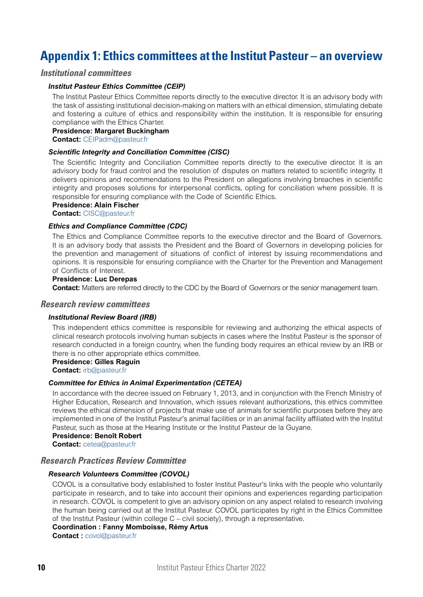## **Appendix 1: Ethics committees at the Institut Pasteur – an overview**

### *Institutional committees*

#### *Institut Pasteur Ethics Committee (CEIP)*

The Institut Pasteur Ethics Committee reports directly to the executive director. It is an advisory body with the task of assisting institutional decision-making on matters with an ethical dimension, stimulating debate and fostering a culture of ethics and responsibility within the institution. It is responsible for ensuring compliance with the Ethics Charter.

#### **Presidence: Margaret Buckingham**

**Contact:** [CEIPadm@pasteur.fr](mailto:CEIPadm@pasteur.fr)

#### *Scientific Integrity and Conciliation Committee (CISC)*

The Scientific Integrity and Conciliation Committee reports directly to the executive director. It is an advisory body for fraud control and the resolution of disputes on matters related to scientific integrity. It delivers opinions and recommendations to the President on allegations involving breaches in scientific integrity and proposes solutions for interpersonal conflicts, opting for conciliation where possible. It is responsible for ensuring compliance with the Code of Scientific Ethics.

#### **Presidence: Alain Fischer**

**Contact:** [CISC@pasteur.fr](mailto:CISC@pasteur.fr)

#### *Ethics and Compliance Committee (CDC)*

The Ethics and Compliance Committee reports to the executive director and the Board of Governors. It is an advisory body that assists the President and the Board of Governors in developing policies for the prevention and management of situations of conflict of interest by issuing recommendations and opinions. It is responsible for ensuring compliance with the Charter for the Prevention and Management of Conflicts of Interest.

#### **Presidence: Luc Derepas**

**Contact:** Matters are referred directly to the CDC by the Board of Governors or the senior management team.

#### *Research review committees*

#### *Institutional Review Board (IRB)*

This independent ethics committee is responsible for reviewing and authorizing the ethical aspects of clinical research protocols involving human subjects in cases where the Institut Pasteur is the sponsor of research conducted in a foreign country, when the funding body requires an ethical review by an IRB or there is no other appropriate ethics committee.

**Presidence: Gilles Raguin**

**Contact:** [irb@pasteur.fr](mailto:irb%40pasteur.fr?subject=)

#### *Committee for Ethics in Animal Experimentation (CETEA)*

In accordance with the decree issued on February 1, 2013, and in conjunction with the French Ministry of Higher Education, Research and Innovation, which issues relevant authorizations, this ethics committee reviews the ethical dimension of projects that make use of animals for scientific purposes before they are implemented in one of the Institut Pasteur's animal facilities or in an animal facility affiliated with the Institut Pasteur, such as those at the Hearing Institute or the Institut Pasteur de la Guyane.

**Presidence: Benoît Robert**

**Contact:** [cetea@pasteur.fr](mailto:cetea@pasteur.fr)

### *Research Practices Review Committee*

#### *Research Volunteers Committee (COVOL)*

COVOL is a consultative body established to foster Institut Pasteur's links with the people who voluntarily participate in research, and to take into account their opinions and experiences regarding participation in research. COVOL is competent to give an advisory opinion on any aspect related to research involving the human being carried out at the Institut Pasteur. COVOL participates by right in the Ethics Committee of the Institut Pasteur (within college C – civil society), through a representative.

#### **Coordination : Fanny Momboisse, Rémy Artus**

**Contact :** [covol@pasteur.fr](mailto:covol@pasteur.fr)